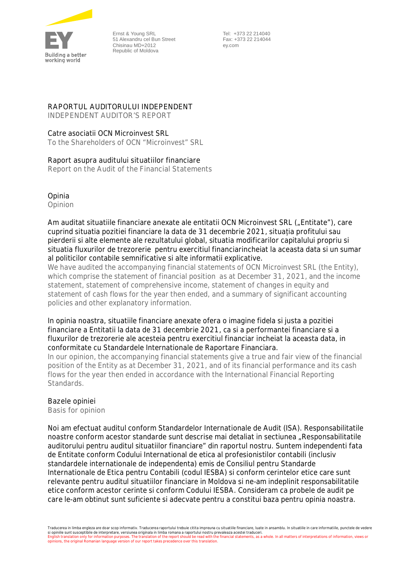

Ernst & Young SRL 51 Alexandru cel Bun Street Chisinau MD+2012 Republic of Moldova

 Tel: +373 22 214040 Fax: +373 22 214044 ey.com

# **RAPORTUL AUDITORULUI INDEPENDENT**

*INDEPENDENT AUDITOR'S REPORT*

## Catre asociatii OCN Microinvest SRL

*To the Shareholders of OCN "Microinvest" SRL*

### **Raport asupra auditului situatiilor financiare**

*Report on the Audit of the Financial Statements*

**Opinia**

*Opinion*

Am auditat situatiile financiare anexate ale entitatii OCN Microinvest SRL ("Entitate"), care cuprind situatia pozitiei financiare la data de 31 decembrie 2021, situația profitului sau pierderii si alte elemente ale rezultatului global, situatia modificarilor capitalului propriu si situatia fluxurilor de trezorerie pentru exercitiul financiarincheiat la aceasta data si un sumar al politicilor contabile semnificative si alte informatii explicative.

*We have audited the accompanying financial statements of OCN Microinvest SRL (the Entity), which comprise the statement of financial position as at December 31, 2021, and the income statement, statement of comprehensive income, statement of changes in equity and statement of cash flows for the year then ended, and a summary of significant accounting policies and other explanatory information.*

In opinia noastra, situatiile financiare anexate ofera o imagine fidela si justa a pozitiei financiare a Entitatii la data de 31 decembrie 2021, ca si a performantei financiare si a fluxurilor de trezorerie ale acesteia pentru exercitiul financiar incheiat la aceasta data, in conformitate cu Standardele Internationale de Raportare Financiara.

*In our opinion, the accompanying financial statements give a true and fair view of the financial position of the Entity as at December 31, 2021, and of its financial performance and its cash flows for the year then ended in accordance with the International Financial Reporting Standards.*

### **Bazele opiniei**

*Basis for opinion*

Noi am efectuat auditul conform Standardelor Internationale de Audit (ISA). Responsabilitatile noastre conform acestor standarde sunt descrise mai detaliat in sectiunea "Responsabilitatile auditorului pentru auditul situatiilor financiare" din raportul nostru. Suntem independenti fata de Entitate conform Codului International de etica al profesionistilor contabili (inclusiv standardele internationale de independenta) emis de Consiliul pentru Standarde Internationale de Etica pentru Contabili (codul IESBA) si conform cerintelor etice care sunt relevante pentru auditul situatiilor financiare in Moldova si ne-am indeplinit responsabilitatile etice conform acestor cerinte si conform Codului IESBA. Consideram ca probele de audit pe care le-am obtinut sunt suficiente si adecvate pentru a constitui baza pentru opinia noastra.

Traducerea in limba engleza are doar scop informativ. Traducerea raportului trebuie citita impreuna cu situatiile financiare, luate in ansamblu. In situatiile in care informatiile, punctele de vedere si opiniile sunt susceptibile de interpretare, versiunea originala in limba romana a raportului nostru prevaleaza acestei traduceri.<br>English translation only for information purposes. The translation of the report should b *opinions, the original Romanian language version of our report takes precedence over this translation.*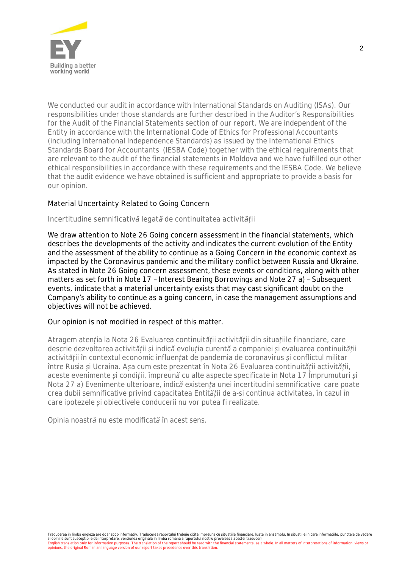

*We conducted our audit in accordance with International Standards on Auditing (ISAs). Our responsibilities under those standards are further described in the Auditor's Responsibilities for the Audit of the Financial Statements section of our report. We are independent of the Entity in accordance with the International Code of Ethics for Professional Accountants (including International Independence Standards) as issued by the International Ethics Standards Board for Accountants (IESBA Code) together with the ethical requirements that are relevant to the audit of the financial statements in Moldova and we have fulfilled our other ethical responsibilities in accordance with these requirements and the IESBA Code. We believe that the audit evidence we have obtained is sufficient and appropriate to provide a basis for our opinion.*

# **Material Uncertainty Related to Going Concern**

#### *Incertitudine semnificativă legată de continuitatea activității*

We draw attention to Note 26 Going concern assessment in the financial statements, which describes the developments of the activity and indicates the current evolution of the Entity and the assessment of the ability to continue as a Going Concern in the economic context as impacted by the Coronavirus pandemic and the military conflict between Russia and Ukraine. As stated in Note 26 Going concern assessment, these events or conditions, along with other matters as set forth in Note 17 – Interest Bearing Borrowings and Note 27 a) – Subsequent events, indicate that a material uncertainty exists that may cast significant doubt on the Company's ability to continue as a going concern, in case the management assumptions and objectives will not be achieved.

#### Our opinion is not modified in respect of this matter.

*Atragem atenția la Nota 26 Evaluarea continuității activității din situațiile financiare, care descrie dezvoltarea activității și indică evoluția curentă a companiei și evaluarea continuității activității în contextul economic influențat de pandemia de coronavirus și conflictul militar între Rusia și Ucraina. Așa cum este prezentat în Nota 26 Evaluarea continuității activității, aceste evenimente și condiții, împreună cu alte aspecte specificate în Nota 17 Împrumuturi și Nota 27 a) Evenimente ulterioare, indică existența unei incertitudini semnificative care poate crea dubii semnificative privind capacitatea Entității de a-si continua activitatea, în cazul în care ipotezele și obiectivele conducerii nu vor putea fi realizate.*

*Opinia noastră nu este modificată în acest sens.*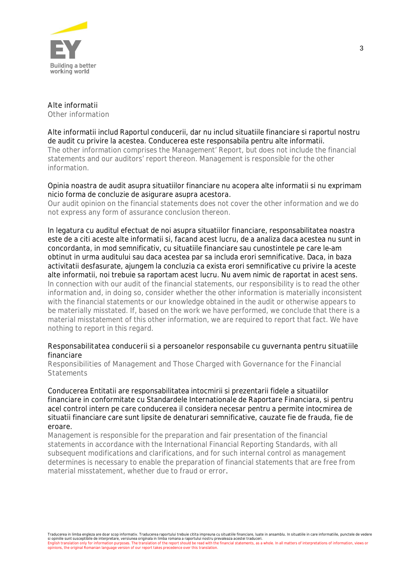

**Alte informatii** *Other information*

Alte informatii includ Raportul conducerii, dar nu includ situatiile financiare si raportul nostru de audit cu privire la acestea. Conducerea este responsabila pentru alte informatii. *The other information comprises the Management' Report, but does not include the financial statements and our auditors' report thereon. Management is responsible for the other information.*

Opinia noastra de audit asupra situatiilor financiare nu acopera alte informatii si nu exprimam nicio forma de concluzie de asigurare asupra acestora.

*Our audit opinion on the financial statements does not cover the other information and we do not express any form of assurance conclusion thereon.*

In legatura cu auditul efectuat de noi asupra situatiilor financiare, responsabilitatea noastra este de a citi aceste alte informatii si, facand acest lucru, de a analiza daca acestea nu sunt in concordanta, in mod semnificativ, cu situatiile financiare sau cunostintele pe care le-am obtinut in urma auditului sau daca acestea par sa includa erori semnificative. Daca, in baza activitatii desfasurate, ajungem la concluzia ca exista erori semnificative cu privire la aceste alte informatii, noi trebuie sa raportam acest lucru. Nu avem nimic de raportat in acest sens. *In connection with our audit of the financial statements, our responsibility is to read the other information and, in doing so, consider whether the other information is materially inconsistent with the financial statements or our knowledge obtained in the audit or otherwise appears to be materially misstated. If, based on the work we have performed, we conclude that there is a material misstatement of this other information, we are required to report that fact. We have nothing to report in this regard.*

#### **Responsabilitatea conducerii si a persoanelor responsabile cu guvernanta pentru situatiile financiare**

*Responsibilities of Management and Those Charged with Governance for the Financial Statements*

Conducerea Entitatii are responsabilitatea intocmirii si prezentarii fidele a situatiilor financiare in conformitate cu Standardele Internationale de Raportare Financiara, si pentru acel control intern pe care conducerea il considera necesar pentru a permite intocmirea de situatii financiare care sunt lipsite de denaturari semnificative, cauzate fie de frauda, fie de eroare.

*Management is responsible for the preparation and fair presentation of the financial statements in accordance with the International Financial Reporting Standards, with all subsequent modifications and clarifications, and for such internal control as management determines is necessary to enable the preparation of financial statements that are free from material misstatement, whether due to fraud or error*.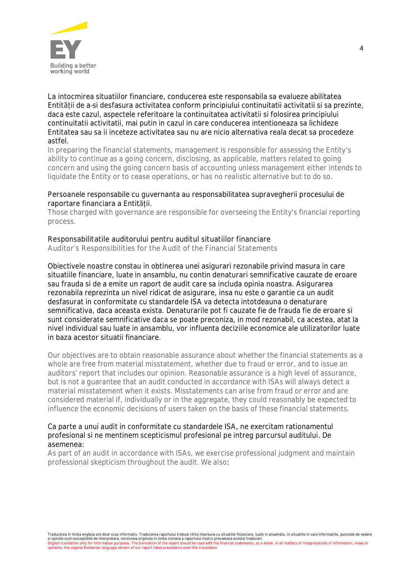

La intocmirea situatiilor financiare, conducerea este responsabila sa evalueze abilitatea Entității de a-si desfasura activitatea conform principiului continuitatii activitatii si sa prezinte, daca este cazul, aspectele referitoare la continuitatea activitatii si folosirea principiului continuitatii activitatii, mai putin in cazul in care conducerea intentioneaza sa lichideze Entitatea sau sa ii inceteze activitatea sau nu are nicio alternativa reala decat sa procedeze astfel.

*In preparing the financial statements, management is responsible for assessing the Entity's ability to continue as a going concern, disclosing, as applicable, matters related to going concern and using the going concern basis of accounting unless management either intends to liquidate the Entity or to cease operations, or has no realistic alternative but to do so.*

### Persoanele responsabile cu guvernanta au responsabilitatea supravegherii procesului de raportare financiara a Entității.

*Those charged with governance are responsible for overseeing the Entity's financial reporting process.*

## **Responsabilitatile auditorului pentru auditul situatiilor financiare**

*Auditor's Responsibilities for the Audit of the Financial Statements*

Obiectivele noastre constau in obtinerea unei asigurari rezonabile privind masura in care situatiile financiare, luate in ansamblu, nu contin denaturari semnificative cauzate de eroare sau frauda si de a emite un raport de audit care sa includa opinia noastra. Asigurarea rezonabila reprezinta un nivel ridicat de asigurare, insa nu este o garantie ca un audit desfasurat in conformitate cu standardele ISA va detecta intotdeauna o denaturare semnificativa, daca aceasta exista. Denaturarile pot fi cauzate fie de frauda fie de eroare si sunt considerate semnificative daca se poate preconiza, in mod rezonabil, ca acestea, atat la nivel individual sau luate in ansamblu, vor influenta deciziile economice ale utilizatorilor luate in baza acestor situatii financiare.

*Our objectives are to obtain reasonable assurance about whether the financial statements as a whole are free from material misstatement, whether due to fraud or error, and to issue an auditors' report that includes our opinion. Reasonable assurance is a high level of assurance, but is not a guarantee that an audit conducted in accordance with ISAs will always detect a material misstatement when it exists. Misstatements can arise from fraud or error and are considered material if, individually or in the aggregate, they could reasonably be expected to influence the economic decisions of users taken on the basis of these financial statements.*

### Ca parte a unui audit in conformitate cu standardele ISA, ne exercitam rationamentul profesional si ne mentinem scepticismul profesional pe intreg parcursul auditului. De asemenea:

*As part of an audit in accordance with ISAs, we exercise professional judgment and maintain professional skepticism throughout the audit. We also*: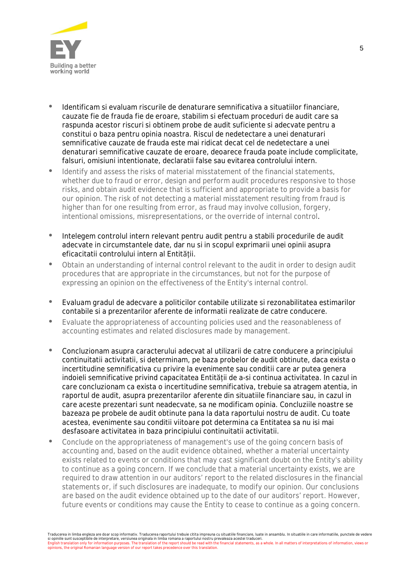

- Identificam si evaluam riscurile de denaturare semnificativa a situatiilor financiare, cauzate fie de frauda fie de eroare, stabilim si efectuam proceduri de audit care sa raspunda acestor riscuri si obtinem probe de audit suficiente si adecvate pentru a constitui o baza pentru opinia noastra. Riscul de nedetectare a unei denaturari semnificative cauzate de frauda este mai ridicat decat cel de nedetectare a unei denaturari semnificative cauzate de eroare, deoarece frauda poate include complicitate, falsuri, omisiuni intentionate, declaratii false sau evitarea controlului intern.
- *Identify and assess the risks of material misstatement of the financial statements, whether due to fraud or error, design and perform audit procedures responsive to those risks, and obtain audit evidence that is sufficient and appropriate to provide a basis for our opinion. The risk of not detecting a material misstatement resulting from fraud is higher than for one resulting from error, as fraud may involve collusion, forgery, intentional omissions, misrepresentations, or the override of internal control*.
- Intelegem controlul intern relevant pentru audit pentru a stabili procedurile de audit adecvate in circumstantele date, dar nu si in scopul exprimarii unei opinii asupra eficacitatii controlului intern al Entității.
- *Obtain an understanding of internal control relevant to the audit in order to design audit procedures that are appropriate in the circumstances, but not for the purpose of expressing an opinion on the effectiveness of the Entity's internal control.*
- Evaluam gradul de adecvare a politicilor contabile utilizate si rezonabilitatea estimarilor contabile si a prezentarilor aferente de informatii realizate de catre conducere.
- *Evaluate the appropriateness of accounting policies used and the reasonableness of accounting estimates and related disclosures made by management.*
- Concluzionam asupra caracterului adecvat al utilizarii de catre conducere a principiului continuitatii activitatii, si determinam, pe baza probelor de audit obtinute, daca exista o incertitudine semnificativa cu privire la evenimente sau conditii care ar putea genera indoieli semnificative privind capacitatea Entității de a-si continua activitatea. In cazul in care concluzionam ca exista o incertitudine semnificativa, trebuie sa atragem atentia, in raportul de audit, asupra prezentarilor aferente din situatiile financiare sau, in cazul in care aceste prezentari sunt neadecvate, sa ne modificam opinia. Concluziile noastre se bazeaza pe probele de audit obtinute pana la data raportului nostru de audit. Cu toate acestea, evenimente sau conditii viitoare pot determina ca Entitatea sa nu isi mai desfasoare activitatea in baza principiului continuitatii activitatii.
- *Conclude on the appropriateness of management's use of the going concern basis of accounting and, based on the audit evidence obtained, whether a material uncertainty exists related to events or conditions that may cast significant doubt on the Entity's ability to continue as a going concern. If we conclude that a material uncertainty exists, we are required to draw attention in our auditors' report to the related disclosures in the financial statements or, if such disclosures are inadequate, to modify our opinion. Our conclusions are based on the audit evidence obtained up to the date of our auditors' report. However, future events or conditions may cause the Entity to cease to continue as a going concern.*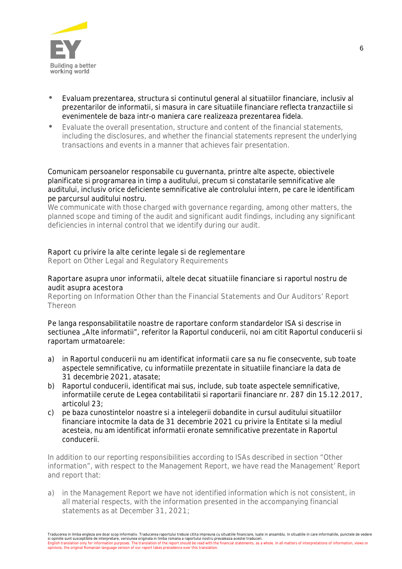

- Evaluam prezentarea, structura si continutul general al situatiilor financiare, inclusiv al prezentarilor de informatii, si masura in care situatiile financiare reflecta tranzactiile si evenimentele de baza intr-o maniera care realizeaza prezentarea fidela.
- *Evaluate the overall presentation, structure and content of the financial statements, including the disclosures, and whether the financial statements represent the underlying transactions and events in a manner that achieves fair presentation.*

Comunicam persoanelor responsabile cu guvernanta, printre alte aspecte, obiectivele planificate si programarea in timp a auditului, precum si constatarile semnificative ale auditului, inclusiv orice deficiente semnificative ale controlului intern, pe care le identificam pe parcursul auditului nostru.

*We communicate with those charged with governance regarding, among other matters, the planned scope and timing of the audit and significant audit findings, including any significant deficiencies in internal control that we identify during our audit.*

## **Raport cu privire la alte cerinte legale si de reglementare**

*Report on Other Legal and Regulatory Requirements*

## **Raportare asupra unor informatii, altele decat situatiile financiare si raportul nostru de audit asupra acestora**

*Reporting on Information Other than the Financial Statements and Our Auditors' Report Thereon*

Pe langa responsabilitatile noastre de raportare conform standardelor ISA si descrise in sectiunea "Alte informatii", referitor la Raportul conducerii, noi am citit Raportul conducerii si raportam urmatoarele:

- a) in Raportul conducerii nu am identificat informatii care sa nu fie consecvente, sub toate aspectele semnificative, cu informatiile prezentate in situatiile financiare la data de 31 decembrie 2021, atasate;
- b) Raportul conducerii, identificat mai sus, include, sub toate aspectele semnificative, informatiile cerute de Legea contabilitatii si raportarii financiare nr. 287 din 15.12.2017, articolul 23;
- c) pe baza cunostintelor noastre si a intelegerii dobandite in cursul auditului situatiilor financiare intocmite la data de 31 decembrie 2021 cu privire la Entitate si la mediul acesteia, nu am identificat informatii eronate semnificative prezentate in Raportul conducerii.

*In addition to our reporting responsibilities according to ISAs described in section "Other information", with respect to the Management Report, we have read the Management' Report and report that:*

*a) in the Management Report we have not identified information which is not consistent, in all material respects, with the information presented in the accompanying financial statements as at December 31, 2021;*